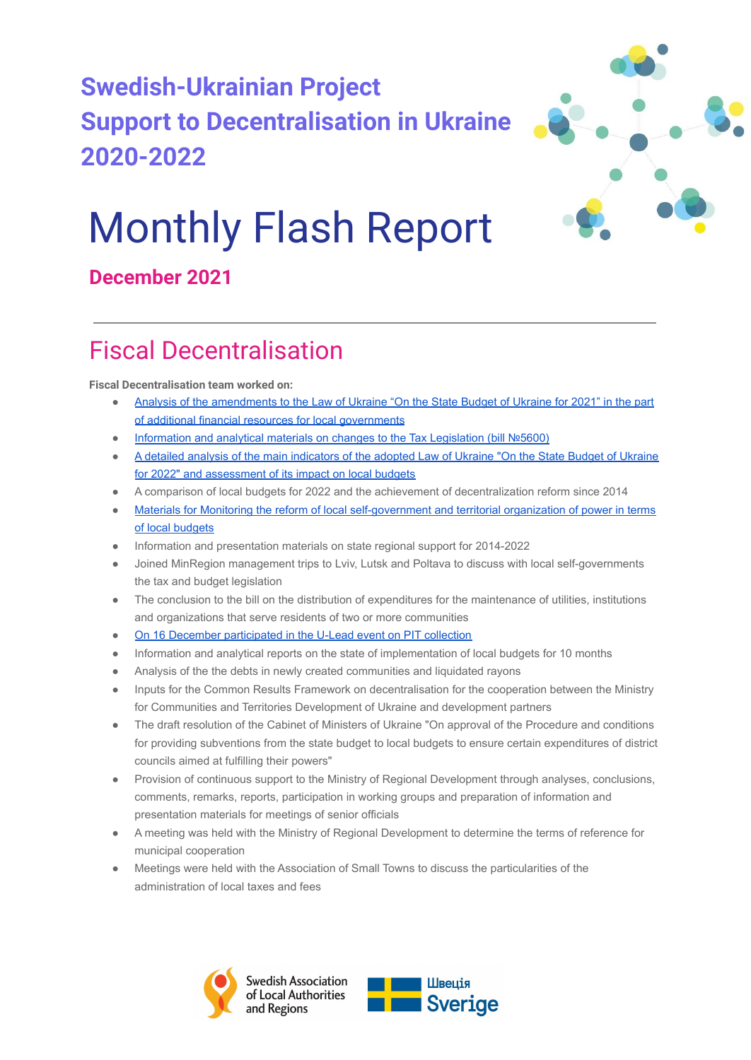



# Monthly Flash Report

### **December 2021**

# Fiscal Decentralisation

**Fiscal Decentralisation team worked on:**

- [Analysis of the amendments to the Law of Ukraine "On the State Budget of Ukraine for 2021" in the part](https://decentralization.gov.ua/news/14320?page=4) [of additional financial resources for local governments](https://decentralization.gov.ua/news/14320?page=4)
- [Information and analytical materials on changes to the Tax Legislation \(bill №5600\)](https://decentralization.gov.ua/news/14328?page=3)
- [A detailed analysis of the main indicators of the adopted Law of Ukraine "On the State Budget of Ukraine](https://decentralization.gov.ua/news/14316?page=4) [for 2022" and assessment of its impact on local budgets](https://decentralization.gov.ua/news/14316?page=4)
- A comparison of local budgets for 2022 and the achievement of decentralization reform since 2014
- [Materials for Monitoring the reform of local self-government and territorial organization of power in terms](https://decentralization.gov.ua/uploads/library/file/800/10.01.2022.pdf) [of local budgets](https://decentralization.gov.ua/uploads/library/file/800/10.01.2022.pdf)
- Information and presentation materials on state regional support for 2014-2022
- Joined MinRegion management trips to Lviv, Lutsk and Poltava to discuss with local self-governments the tax and budget legislation
- The conclusion to the bill on the distribution of expenditures for the maintenance of utilities, institutions and organizations that serve residents of two or more communities
- [On 16 December participated in the U-Lead event on PIT collection](https://www.facebook.com/ULEADwithEurope/posts/870955786919433)
- Information and analytical reports on the state of implementation of local budgets for 10 months
- Analysis of the the debts in newly created communities and liquidated rayons
- Inputs for the Common Results Framework on decentralisation for the cooperation between the Ministry for Communities and Territories Development of Ukraine and development partners
- The draft resolution of the Cabinet of Ministers of Ukraine "On approval of the Procedure and conditions for providing subventions from the state budget to local budgets to ensure certain expenditures of district councils aimed at fulfilling their powers"
- Provision of continuous support to the Ministry of Regional Development through analyses, conclusions, comments, remarks, reports, participation in working groups and preparation of information and presentation materials for meetings of senior officials
- A meeting was held with the Ministry of Regional Development to determine the terms of reference for municipal cooperation
- Meetings were held with the Association of Small Towns to discuss the particularities of the administration of local taxes and fees



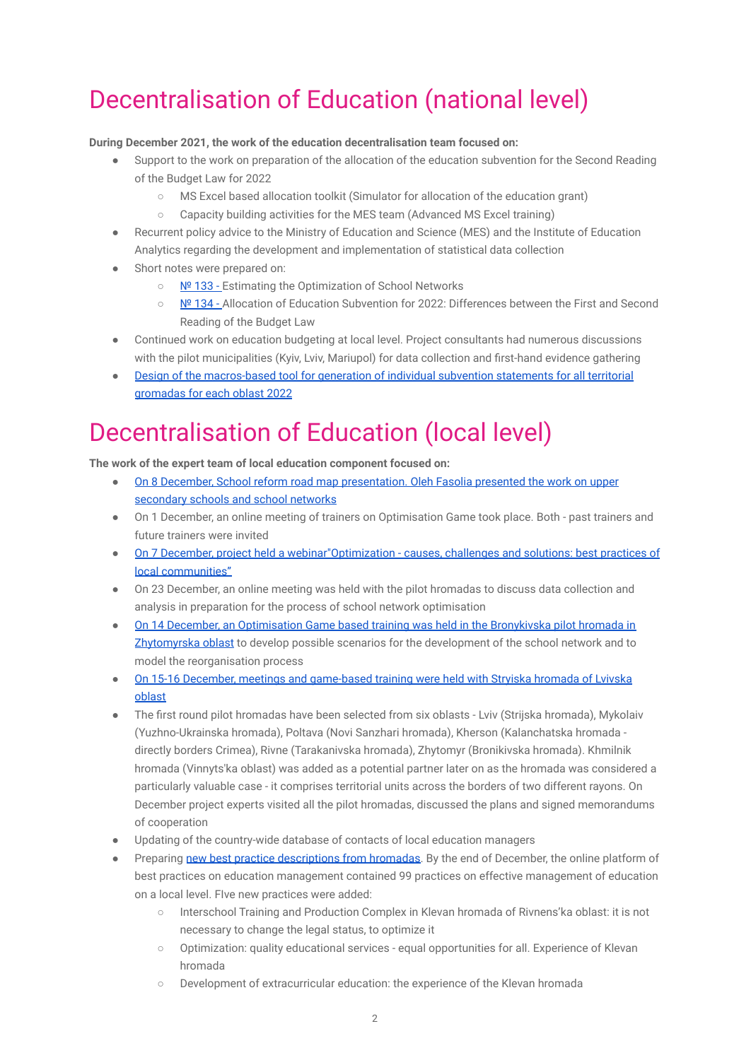# Decentralisation of Education (national level)

#### **During December 2021, the work of the education decentralisation team focused on:**

- Support to the work on preparation of the allocation of the education subvention for the Second Reading of the Budget Law for 2022
	- MS Excel based allocation toolkit (Simulator for allocation of the education grant)
	- Capacity building activities for the MES team (Advanced MS Excel training)
- Recurrent policy advice to the Ministry of Education and Science (MES) and the Institute of Education Analytics regarding the development and implementation of statistical data collection
- Short notes were prepared on:
	- [№ 133 -](http://sklinternational.org.ua/ua/library/) Estimating the Optimization of School Networks
	- [№ 134 -](http://sklinternational.org.ua/ua/library/) Allocation of Education Subvention for 2022: Differences between the First and Second Reading of the Budget Law
- Continued work on education budgeting at local level. Project consultants had numerous discussions with the pilot municipalities (Kyiy, Lyiy, Mariupol) for data collection and first-hand evidence gathering
- [Design of the macros-based tool for generation of individual subvention statements for all territorial](https://mon.gov.ua/ua/ministerstvo/diyalnist/byudzhet-ta-zakupivli/byudzhet/2022-rik/informacijni-dovidki-shodo-rozrahunku-obsyagu-osvitnoyi-subvenciyi-na-2022-rik?fbclid=IwAR0OSYfJFZFqVrk9umPtGT17RwXlpnJ_s_SG1uBxC9-80ujC59RUntxa0G8) [gromadas for each oblast 2022](https://mon.gov.ua/ua/ministerstvo/diyalnist/byudzhet-ta-zakupivli/byudzhet/2022-rik/informacijni-dovidki-shodo-rozrahunku-obsyagu-osvitnoyi-subvenciyi-na-2022-rik?fbclid=IwAR0OSYfJFZFqVrk9umPtGT17RwXlpnJ_s_SG1uBxC9-80ujC59RUntxa0G8)

# Decentralisation of Education (local level)

**The work of the expert team of local education component focused on:**

- [On 8 December, School reform road map presentation. Oleh Fasolia presented the work on upper](https://www.facebook.com/watch/live/?ref=watch_permalink&v=930011797952168) [secondary schools and school networks](https://www.facebook.com/watch/live/?ref=watch_permalink&v=930011797952168)
- On 1 December, an online meeting of trainers on Optimisation Game took place. Both past trainers and future trainers were invited
- [On 7 December, project held a webinar"Optimization causes, challenges and solutions: best practices of](https://www.facebook.com/SKLInternational.org.ua) [local communities"](https://www.facebook.com/SKLInternational.org.ua)
- On 23 December, an online meeting was held with the pilot hromadas to discuss data collection and analysis in preparation for the process of school network optimisation
- [On 14 December, an Optimisation Game based training was held in the Bronykivska pilot hromada in](https://www.facebook.com/SKLInternational.org.ua/posts/2452433641567955) [Zhytomyrska oblast](https://www.facebook.com/SKLInternational.org.ua/posts/2452433641567955) to develop possible scenarios for the development of the school network and to model the reorganisation process
- [On 15-16 December, meetings and game-based training were held with Stryiska hromada of Lvivska](https://www.facebook.com/watch/?v=951679782373260) [oblast](https://www.facebook.com/watch/?v=951679782373260)
- The first round pilot hromadas have been selected from six oblasts Lviv (Strijska hromada), Mykolaiv (Yuzhno-Ukrainska hromada), Poltava (Novi Sanzhari hromada), Kherson (Kalanchatska hromada directly borders Crimea), Rivne (Tarakanivska hromada), Zhytomyr (Bronikivska hromada). Khmilnik hromada (Vinnyts'ka oblast) was added as a potential partner later on as the hromada was considered a particularly valuable case - it comprises territorial units across the borders of two different rayons. On December project experts visited all the pilot hromadas, discussed the plans and signed memorandums of cooperation
- Updating of the country-wide database of contacts of local education managers
- Preparing [new best practice descriptions from hromadas.](http://wiki.sklinternational.org.ua/practice/) By the end of December, the online platform of best practices on education management contained 99 practices on effective management of education on a local level. FIve new practices were added:
	- Interschool Training and Production Complex in Klevan hromada of Rivnens'ka oblast: it is not necessary to change the legal status, to optimize it
	- Optimization: quality educational services equal opportunities for all. Experience of Klevan hromada
	- Development of extracurricular education: the experience of the Klevan hromada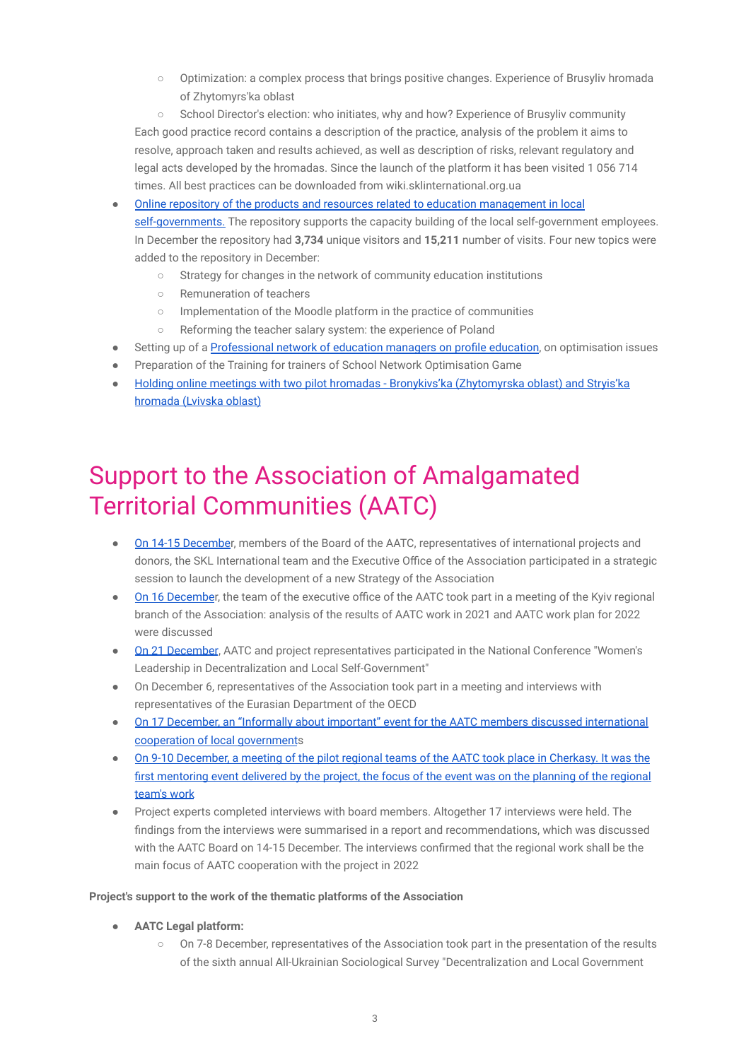○ Optimization: a complex process that brings positive changes. Experience of Brusyliv hromada of Zhytomyrs'ka oblast

○ School Director's election: who initiates, why and how? Experience of Brusyliv community Each good practice record contains a description of the practice, analysis of the problem it aims to resolve, approach taken and results achieved, as well as description of risks, relevant regulatory and legal acts developed by the hromadas. Since the launch of the platform it has been visited 1 056 714 times. All best practices can be downloaded from wiki.sklinternational.org.ua

[Online repository of the products and resources related to education management in local](http://sklinternational.org.ua/ua/%d0%b3%d1%80%d0%b0-%d0%be%d0%bf%d1%82%d0%b8%d0%bc%d1%96%d0%b7%d0%b0%d1%86%d1%96%d1%8f-%d1%88%d0%ba%d1%96%d0%bb%d1%8c%d0%bd%d0%be%d1%97-%d0%bc%d0%b5%d1%80%d0%b5%d0%b6%d1%96-%d1%83-%d0%b3%d1%80%d0%be/) [self-governments.](http://sklinternational.org.ua/ua/%d0%b3%d1%80%d0%b0-%d0%be%d0%bf%d1%82%d0%b8%d0%bc%d1%96%d0%b7%d0%b0%d1%86%d1%96%d1%8f-%d1%88%d0%ba%d1%96%d0%bb%d1%8c%d0%bd%d0%be%d1%97-%d0%bc%d0%b5%d1%80%d0%b5%d0%b6%d1%96-%d1%83-%d0%b3%d1%80%d0%be/) The repository supports the capacity building of the local self-government employees. In December the repository had **3,734** unique visitors and **15,211** number of visits. Four new topics were added to the repository in December:

- Strategy for changes in the network of community education institutions
- Remuneration of teachers
- Implementation of the Moodle platform in the practice of communities
- Reforming the teacher salary system: the experience of Poland
- Setting up of a [Professional network of education](https://www.facebook.com/SKLInternational.org.ua/posts/2416654858479167) managers on profile education, on optimisation issues
- Preparation of the Training for trainers of School Network Optimisation Game
- [Holding online meetings with two pilot hromadas Bronykivs'ka \(Zhytomyrska oblast\) and Stryis'ka](https://www.facebook.com/SKLInternational.org.ua/posts/2430171470460839) [hromada \(Lvivska oblast\)](https://www.facebook.com/SKLInternational.org.ua/posts/2430171470460839)

# Support to the Association of Amalgamated Territorial Communities (AATC)

- [On 14-15 Decembe](https://hromady.org/start-rozrobki-novo%d1%97-strategi%d1%97-vseukra%d1%97nsko%d1%97-asociaci%d1%97-otg/)r, members of the Board of the AATC, representatives of international projects and donors, the SKL International team and the Executive Office of the Association participated in a strategic session to launch the development of a new Strategy of the Association
- [On 16 Decembe](https://hromady.org/22789-2/)r, the team of the executive office of the AATC took part in a meeting of the Kyiv regional branch of the Association: analysis of the results of AATC work in 2021 and AATC work plan for 2022 were discussed
- [On 21 December](https://hromady.org/21-22-grudnya-nacionalna-konferenciya-zhinoche-liderstvo-u-decentralizaci%d1%97-ta-miscevomu-samovryaduvanni/), AATC and project representatives participated in the National Conference "Women's Leadership in Decentralization and Local Self-Government"
- On December 6, representatives of the Association took part in a meeting and interviews with representatives of the Eurasian Department of the OECD
- [On 17 December, an "Informally about important" event for the AATC members discussed international](https://www.facebook.com/watch/live/?ref=watch_permalink&v=191501983122115) [cooperation of local government](https://www.facebook.com/watch/live/?ref=watch_permalink&v=191501983122115)s
- [On 9-10 December, a meeting of the pilot regional teams of the AATC took place in Cherkasy. It was the](https://www.facebook.com/watch/?v=627309811619900) [first mentoring event delivered by the project, the focus of the event was on the planning of the regional](https://www.facebook.com/watch/?v=627309811619900) [team's work](https://www.facebook.com/watch/?v=627309811619900)
- Project experts completed interviews with board members. Altogether 17 interviews were held. The findings from the interviews were summarised in a report and recommendations, which was discussed with the AATC Board on 14-15 December. The interviews confirmed that the regional work shall be the main focus of AATC cooperation with the project in 2022

#### **Project's support to the work of the thematic platforms of the Association**

- **● AATC Legal platform:**
	- On 7-8 December, representatives of the Association took part in the presentation of the results of the sixth annual All-Ukrainian Sociological Survey "Decentralization and Local Government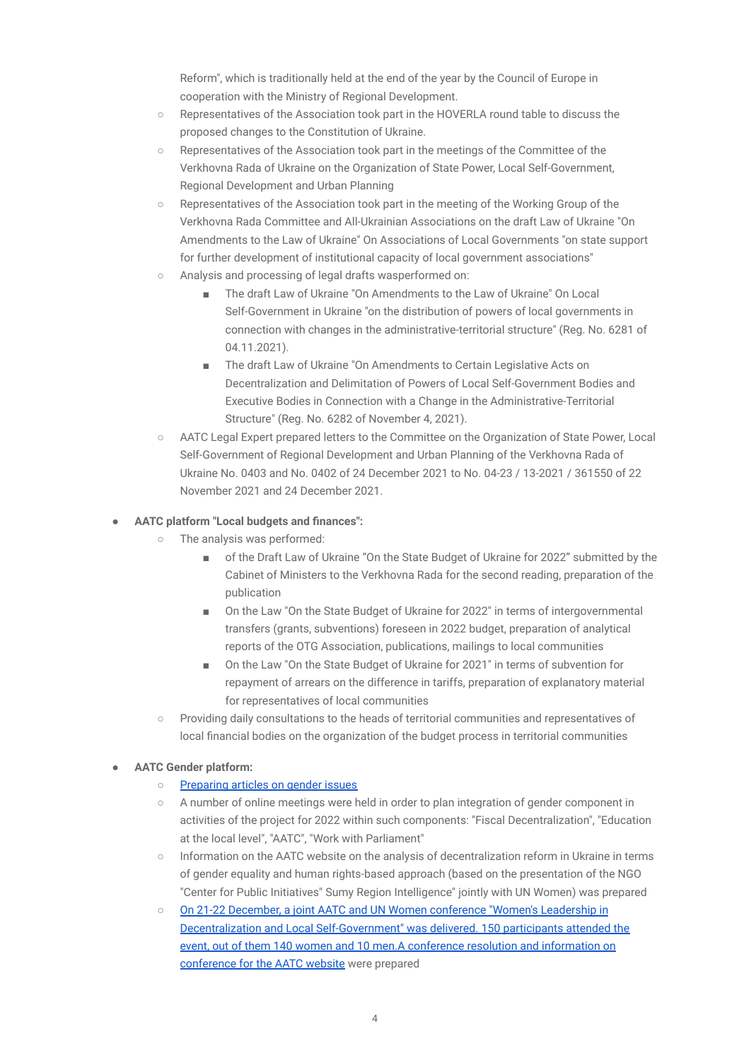Reform", which is traditionally held at the end of the year by the Council of Europe in cooperation with the Ministry of Regional Development.

- Representatives of the Association took part in the HOVERLA round table to discuss the proposed changes to the Constitution of Ukraine.
- Representatives of the Association took part in the meetings of the Committee of the Verkhovna Rada of Ukraine on the Organization of State Power, Local Self-Government, Regional Development and Urban Planning
- Representatives of the Association took part in the meeting of the Working Group of the Verkhovna Rada Committee and All-Ukrainian Associations on the draft Law of Ukraine "On Amendments to the Law of Ukraine" On Associations of Local Governments "on state support for further development of institutional capacity of local government associations"
- Analysis and processing of legal drafts wasperformed on:
	- The draft Law of Ukraine "On Amendments to the Law of Ukraine" On Local Self-Government in Ukraine "on the distribution of powers of local governments in connection with changes in the administrative-territorial structure" (Reg. No. 6281 of 04.11.2021).
	- The draft Law of Ukraine "On Amendments to Certain Legislative Acts on Decentralization and Delimitation of Powers of Local Self-Government Bodies and Executive Bodies in Connection with a Change in the Administrative-Territorial Structure" (Reg. No. 6282 of November 4, 2021).
- AATC Legal Expert prepared letters to the Committee on the Organization of State Power, Local Self-Government of Regional Development and Urban Planning of the Verkhovna Rada of Ukraine No. 0403 and No. 0402 of 24 December 2021 to No. 04-23 / 13-2021 / 361550 of 22 November 2021 and 24 December 2021.

#### ● **AATC platform "Local budgets and finances":**

- The analysis was performed:
	- of the Draft Law of Ukraine "On the State Budget of Ukraine for 2022" submitted by the Cabinet of Ministers to the Verkhovna Rada for the second reading, preparation of the publication
	- On the Law "On the State Budget of Ukraine for 2022" in terms of intergovernmental transfers (grants, subventions) foreseen in 2022 budget, preparation of analytical reports of the OTG Association, publications, mailings to local communities
	- On the Law "On the State Budget of Ukraine for 2021" in terms of subvention for repayment of arrears on the difference in tariffs, preparation of explanatory material for representatives of local communities
- Providing daily consultations to the heads of territorial communities and representatives of local financial bodies on the organization of the budget process in territorial communities

#### ● **AATC Gender platform:**

- [Preparing articles on gender issues](https://hromady.org/category/news-association/)
- A number of online meetings were held in order to plan integration of gender component in activities of the project for 2022 within such components: "Fiscal Decentralization", "Education at the local level", "AATC", "Work with Parliament"
- Information on the AATC website on the analysis of decentralization reform in Ukraine in terms of gender equality and human rights-based approach (based on the presentation of the NGO "Center for Public Initiatives" Sumy Region Intelligence" jointly with UN Women) was prepared
- [On 21-22 December, a joint AATC and UN Women conference "Women's Leadership in](https://hromady.org/21-22-grudnya-nacionalna-konferenciya-zhinoche-liderstvo-u-decentralizaci%D1%97-ta-miscevomu-samovryaduvanni/) [Decentralization and Local Self-Government" was delivered. 150 participants attended the](https://hromady.org/21-22-grudnya-nacionalna-konferenciya-zhinoche-liderstvo-u-decentralizaci%D1%97-ta-miscevomu-samovryaduvanni/) event, out of them 140 women and 10 men. A conference resolution and information on [conference for the AATC website](https://hromady.org/21-22-grudnya-nacionalna-konferenciya-zhinoche-liderstvo-u-decentralizaci%D1%97-ta-miscevomu-samovryaduvanni/) were prepared